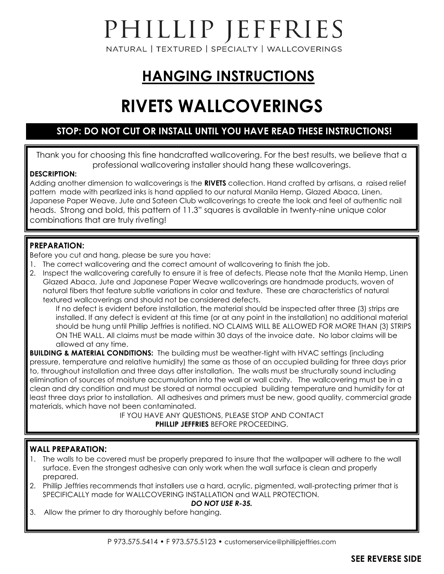# PHILLIP JEFFRIES

NATURAL | TEXTURED | SPECIALTY | WALLCOVERINGS

## **HANGING INSTRUCTIONS**

## **RIVETS WALLCOVERINGS**

#### **STOP: DO NOT CUT OR INSTALL UNTIL YOU HAVE READ THESE INSTRUCTIONS!**

Thank you for choosing this fine handcrafted wallcovering. For the best results, we believe that a professional wallcovering installer should hang these wallcoverings.

#### **DESCRIPTION:**

Adding another dimension to wallcoverings is the **RIVETS** collection. Hand crafted by artisans, a raised relief pattern made with pearlized inks is hand applied to our natural Manila Hemp, Glazed Abaca, Linen, Japanese Paper Weave, Jute and Sateen Club wallcoverings to create the look and feel of authentic nail heads. Strong and bold, this pattern of 11.3" squares is available in twenty-nine unique color combinations that are truly riveting!

#### **PREPARATION:**

Before you cut and hang, please be sure you have:

- 1. The correct wallcovering and the correct amount of wallcovering to finish the job.
- 2. Inspect the wallcovering carefully to ensure it is free of defects. Please note that the Manila Hemp, Linen Glazed Abaca, Jute and Japanese Paper Weave wallcoverings are handmade products, woven of natural fibers that feature subtle variations in color and texture. These are characteristics of natural textured wallcoverings and should not be considered defects.

 If no defect is evident before installation, the material should be inspected after three (3) strips are installed. If any defect is evident at this time (or at any point in the installation) no additional material should be hung until Phillip Jeffries is notified. NO CLAIMS WILL BE ALLOWED FOR MORE THAN (3) STRIPS ON THE WALL. All claims must be made within 30 days of the invoice date. No labor claims will be allowed at any time.

**BUILDING & MATERIAL CONDITIONS:** The building must be weather-tight with HVAC settings (including pressure, temperature and relative humidity) the same as those of an occupied building for three days prior to, throughout installation and three days after installation. The walls must be structurally sound including elimination of sources of moisture accumulation into the wall or wall cavity. The wallcovering must be in a clean and dry condition and must be stored at normal occupied building temperature and humidity for at least three days prior to installation. All adhesives and primers must be new, good quality, commercial grade materials, which have not been contaminated.

IF YOU HAVE ANY QUESTIONS, PLEASE STOP AND CONTACT **PHILLIP JEFFRIES** BEFORE PROCEEDING.

#### **WALL PREPARATION:**

- 1. The walls to be covered must be properly prepared to insure that the wallpaper will adhere to the wall surface. Even the strongest adhesive can only work when the wall surface is clean and properly prepared.
- 2. Phillip Jeffries recommends that installers use a hard, acrylic, pigmented, wall-protecting primer that is SPECIFICALLY made for WALLCOVERING INSTALLATION and WALL PROTECTION.

#### *DO NOT USE R-35.*

3. Allow the primer to dry thoroughly before hanging.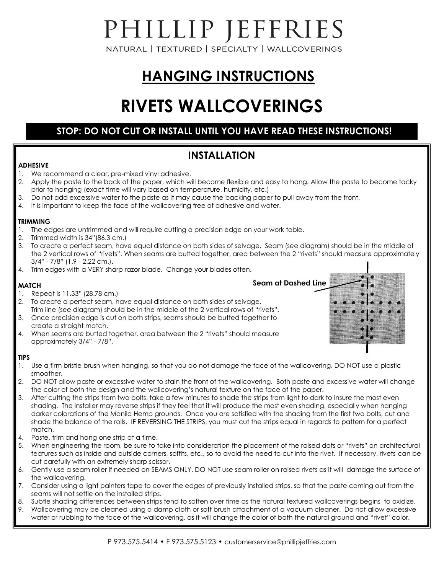# PHILLIP JEFFRIES

NATURAL | TEXTURED | SPECIALTY | WALLCOVERINGS

## **HANGING INSTRUCTIONS**

## **RIVETS WALLCOVERINGS**

#### **STOP: DO NOT CUT OR INSTALL UNTIL YOU HAVE READ THESE INSTRUCTIONS!**

#### **INSTALLATION**

#### **ADHESIVE**

- 1. We recommend a clear, pre-mixed vinyl adhesive.
- 2. Apply the paste to the back of the paper, which will become flexible and easy to hang. Allow the paste to become tacky prior to hanging (exact time will vary based on temperature, humidity, etc.)
- 3. Do not add excessive water to the paste as it may cause the backing paper to pull away from the front.
- 4. It is important to keep the face of the wallcovering free of adhesive and water.

#### **TRIMMING**

- 1. The edges are untrimmed and will require cutting a precision edge on your work table.
- 2. Trimmed width is 34"(86.3 cm.)
- 3. To create a perfect seam, have equal distance on both sides of selvage. Seam (see diagram) should be in the middle of the 2 vertical rows of "rivets". When seams are butted together, area between the 2 "rivets" should measure approximately 3/4" - 7/8" (1.9 - 2.22 cm.).
- 4. Trim edges with a VERY sharp razor blade. Change your blades often.

#### **MATCH**

- 1. Repeat is 11.33" (28.78 cm.)
- 2. To create a perfect seam, have equal distance on both sides of selvage. Trim line (see diagram) should be in the middle of the 2 vertical rows of "rivets".
- 3. Once precision edge is cut on both strips, seams should be butted together to create a straight match.
- 4. When seams are butted together, area between the 2 "rivets" should measure approximately 3/4" - 7/8".

#### **TIPS**

- 1. Use a firm bristle brush when hanging, so that you do not damage the face of the wallcovering. DO NOT use a plastic smoother.
- 2. DO NOT allow paste or excessive water to stain the front of the wallcovering. Both paste and excessive water will change the color of both the design and the wallcovering's natural texture on the face of the paper.
- 3. After cutting the strips from two bolts, take a few minutes to shade the strips from light to dark to insure the most even shading. The installer may reverse strips if they feel that it will produce the most even shading, especially when hanging darker colorations of the Manila Hemp grounds. Once you are satisfied with the shading from the first two bolts, cut and shade the balance of the rolls. IF REVERSING THE STRIPS, you must cut the strips equal in regards to pattern for a perfect match.
- 4. Paste, trim and hang one strip at a time.
- 5. When engineering the room, be sure to take into consideration the placement of the raised dots or "rivets" on architectural features such as inside and outside corners, soffits, etc., so to avoid the need to cut into the rivet. If necessary, rivets can be cut carefully with an extremely sharp scissor.
- 6. Gently use a seam roller if needed on SEAMS ONLY. DO NOT use seam roller on raised rivets as it will damage the surface of the wallcovering.
- 7. Consider using a light painters tape to cover the edges of previously installed strips, so that the paste coming out from the seams will not settle on the installed strips.
- 8. Subtle shading differences between strips tend to soften over time as the natural textured wallcoverings begins to oxidize.
- 9. Wallcovering may be cleaned using a damp cloth or soft brush attachment of a vacuum cleaner. Do not allow excessive water or rubbing to the face of the wallcovering, as it will change the color of both the natural ground and "rivet" color.

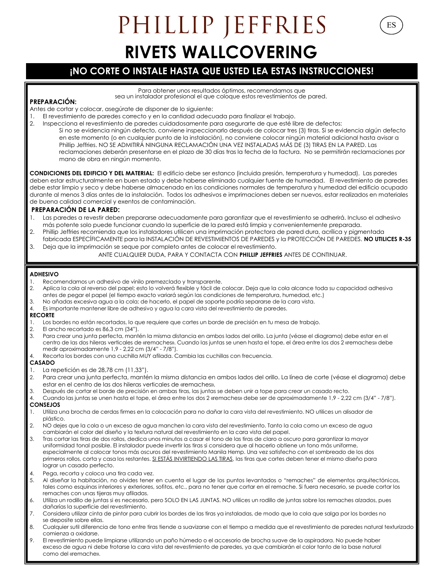## PHILLIP JEFFRIES **RIVETS WALLCOVERING**

ES

#### **¡NO CORTE O INSTALE HASTA QUE USTED LEA ESTAS INSTRUCCIONES!**

Para obtener unos resultados óptimos, recomendamos que sea un instalador profesional el que coloque estos revestimientos de pared. **PREPARACIÓN:** 

Antes de cortar y colocar, asegúrate de disponer de lo siguiente:

- 1. El revestimiento de paredes correcto y en la cantidad adecuada para finalizar el trabajo.
- 2. Inspecciona el revestimiento de paredes cuidadosamente para asegurarte de que esté libre de defectos: Si no se evidencia ningún defecto, conviene inspeccionarlo después de colocar tres (3) tiras. Si se evidencia algún defecto en este momento (o en cualquier punto de la instalación), no conviene colocar ningún material adicional hasta avisar a
	- Phillip Jeffries. NO SE ADMITIRÁ NINGUNA RECLAMACIÓN UNA VEZ INSTALADAS MÁS DE (3) TIRAS EN LA PARED. Las

reclamaciones deberán presentarse en el plazo de 30 días tras la fecha de la factura. No se permitirán reclamaciones por mano de obra en ningún momento.

**CONDICIONES DEL EDIFICIO Y DEL MATERIAL:** El edificio debe ser estanco (incluida presión, temperatura y humedad). Las paredes deben estar estructuralmente en buen estado y debe haberse eliminado cualquier fuente de humedad. El revestimiento de paredes debe estar limpio y seco y debe haberse almacenado en las condiciones normales de temperatura y humedad del edificio ocupado durante al menos 3 días antes de la instalación. Todos los adhesivos e imprimaciones deben ser nuevos, estar realizados en materiales de buena calidad comercial y exentos de contaminación.

#### **PREPARACIÓN DE LA PARED:**

- 1. Las paredes a revestir deben prepararse adecuadamente para garantizar que el revestimiento se adherirá. Incluso el adhesivo más potente solo puede funcionar cuando la superficie de la pared está limpia y convenientemente preparada.
- 2. Phillip Jeffries recomienda que los instaladores utilicen una imprimación protectora de pared dura, acrílica y pigmentada
- fabricada ESPECÍFICAMENTE para la INSTALACIÓN DE REVESTIMIENTOS DE PAREDES y la PROTECCIÓN DE PAREDES. **NO UTILICES R-35** 3. Deja que la imprimación se seque por completo antes de colocar el revestimiento.
	- ANTE CUALQUIER DUDA, PARA Y CONTACTA CON **PHILLIP JEFFRIES** ANTES DE CONTINUAR.

#### **ADHESIVO**

- 1. Recomendamos un adhesivo de vinilo premezclado y transparente.
- 2. Aplica la cola al reverso del papel; esto lo volverá flexible y fácil de colocar. Deja que la cola alcance toda su capacidad adhesiva antes de pegar el papel (el tiempo exacto variará según las condiciones de temperatura, humedad, etc.)
- 3. No añadas excesiva agua a la cola; de hacerlo, el papel de soporte podría separarse de la cara vista.
- 4. Es importante mantener libre de adhesivo y agua la cara vista del revestimiento de paredes.

#### **RECORTE**

- 1. Los bordes no están recortados, lo que requiere que cortes un borde de precisión en tu mesa de trabajo.
- 2. El ancho recortado es 86,3 cm (34").
- 3. Para crear una junta perfecta, mantén la misma distancia en ambos lados del orillo. La junta (véase el diagrama) debe estar en el centro de las dos hileras verticales de «remaches». Cuando las juntas se unen hasta el tope, el área entre los dos 2 «remaches» debe medir aproximadamente 1,9 - 2,22 cm (3/4" - 7/8").
- 4. Recorta los bordes con una cuchilla MUY afilada. Cambia las cuchillas con frecuencia.

#### **CASADO**

- 1. La repetición es de 28,78 cm (11,33").
- 2. Para crear una junta perfecta, mantén la misma distancia en ambos lados del orillo. La línea de corte (véase el diagrama) debe estar en el centro de las dos hileras verticales de «remaches».
- 3. Después de cortar el borde de precisión en ambas tiras, las juntas se deben unir a tope para crear un casado recto.
- 4. Cuando las juntas se unen hasta el tope, el área entre los dos 2 «remaches» debe ser de aproximadamente 1,9 2,22 cm (3/4" 7/8"). **CONSEJOS**
- 1. Utiliza una brocha de cerdas firmes en la colocación para no dañar la cara vista del revestimiento. NO utilices un alisador de plástico.
- 2. NO dejes que la cola o un exceso de agua manchen la cara vista del revestimiento. Tanto la cola como un exceso de agua cambiarán el color del diseño y la textura natural del revestimiento en la cara vista del papel.
- 3. Tras cortar las tiras de dos rollos, dedica unos minutos a casar el tono de las tiras de claro a oscuro para garantizar la mayor uniformidad tonal posible. El instalador puede invertir las tiras si considera que al hacerlo obtiene un tono más uniforme, especialmente al colocar tonos más oscuros del revestimiento Manila Hemp. Una vez satisfecho con el sombreado de los dos primeros rollos, corta y casa los restantes. SI ESTÁS INVIRTIENDO LAS TIRAS, las tiras que cortes deben tener el mismo diseño para lograr un casado perfecto.
- 4. Pega, recorta y coloca una tira cada vez.
- 5. Al diseñar la habitación, no olvides tener en cuenta el lugar de los puntos levantados o "remaches" de elementos arquitectónicos, tales como esquinas interiores y exteriores, sofitos, etc., para no tener que cortar en el remache. Si fuera necesario, se puede cortar los remaches con unas tijeras muy afiladas.
- 6. Utiliza un rodillo de juntas si es necesario, pero SOLO EN LAS JUNTAS. NO utilices un rodillo de juntas sobre los remaches alzados, pues dañarías la superficie del revestimiento.
- 7. Considera utilizar cinta de pintor para cubrir los bordes de las tiras ya instaladas, de modo que la cola que salga por los bordes no se deposite sobre ellas.
- 8. Cualquier sutil diferencia de tono entre tiras tiende a suavizarse con el tiempo a medida que el revestimiento de paredes natural texturizado comienza a oxidarse.
- 9. El revestimiento puede limpiarse utilizando un paño húmedo o el accesorio de brocha suave de la aspiradora. No puede haber exceso de agua ni debe frotarse la cara vista del revestimiento de paredes, ya que cambiarán el color tanto de la base natural como del «remache».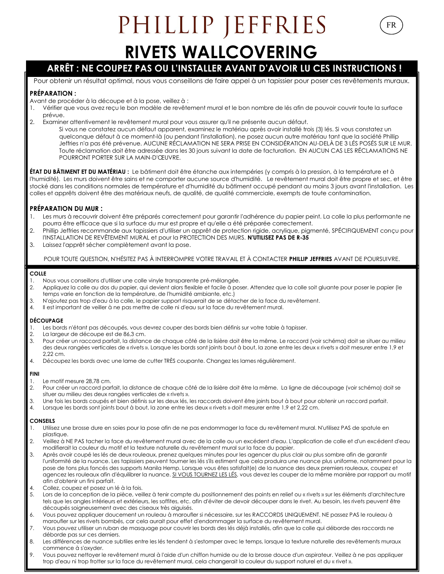# PHILLIP JEFFRIES

FR

## **RIVETS WALLCOVERING**

#### **ARRÊT : NE COUPEZ PAS OU L'INSTALLER AVANT D'AVOIR LU CES INSTRUCTIONS !**

Pour obtenir un résultat optimal, nous vous conseillons de faire appel à un tapissier pour poser ces revêtements muraux.

#### **PRÉPARATION :**

Avant de procéder à la découpe et à la pose, veillez à :

- 1. Vérifier que vous avez reçu le bon modèle de revêtement mural et le bon nombre de lés afin de pouvoir couvrir toute la surface prévue.
- 2. Examiner attentivement le revêtement mural pour vous assurer qu'il ne présente aucun défaut.
	- Si vous ne constatez aucun défaut apparent, examinez le matériau après avoir installé trois (3) lés. Si vous constatez un quelconque défaut à ce moment-là (ou pendant l'installation), ne posez aucun autre matériau tant que la société Phillip Jeffries n'a pas été prévenue. AUCUNE RÉCLAMATION NE SERA PRISE EN CONSIDÉRATION AU-DELÀ DE 3 LÉS POSÉS SUR LE MUR. Toute réclamation doit être adressée dans les 30 jours suivant la date de facturation. EN AUCUN CAS LES RÉCLAMATIONS NE POURRONT PORTER SUR LA MAIN-D'ŒUVRE.

**ÉTAT DU BÂTIMENT ET DU MATÉRIAU :** Le bâtiment doit être étanche aux intempéries (y compris à la pression, à la température et à l'humidité). Les murs doivent être sains et ne comporter aucune source d'humidité. Le revêtement mural doit être propre et sec, et être stocké dans les conditions normales de température et d'humidité du bâtiment occupé pendant au moins 3 jours avant l'installation. Les colles et apprêts doivent être des matériaux neufs, de qualité, de qualité commerciale, exempts de toute contamination.

#### **PRÉPARATION DU MUR :**

- 1. Les murs à recouvrir doivent être préparés correctement pour garantir l'adhérence du papier peint. La colle la plus performante ne pourra être efficace que si la surface du mur est propre et qu'elle a été préparée correctement.
- 2. Phillip Jeffries recommande aux tapissiers d'utiliser un apprêt de protection rigide, acrylique, pigmenté, SPÉCIFIQUEMENT conçu pour l'INSTALLATION DE REVÊTEMENT MURAL et pour la PROTECTION DES MURS. **N'UTILISEZ PAS DE R-35**
- 3. Laissez l'apprêt sécher complètement avant la pose.

#### POUR TOUTE QUESTION, N'HÉSITEZ PAS À INTERROMPRE VOTRE TRAVAIL ET À CONTACTER **PHILLIP JEFFRIES** AVANT DE POURSUIVRE.

#### **COLLE**

- 1. Nous vous conseillons d'utiliser une colle vinyle transparente pré-mélangée.<br>2. Appliquez la colle au dos du papier, qui devient alors flexible et facile à pos
- 2. Appliquez la colle au dos du papier, qui devient alors flexible et facile à poser. Attendez que la colle soit gluante pour poser le papier (le temps varie en fonction de la température, de l'humidité ambiante, etc.)
- 3. N'ajoutez pas trop d'eau à la colle, le papier support risquerait de se détacher de la face du revêtement.
- 4. Il est important de veiller à ne pas mettre de colle ni d'eau sur la face du revêtement mural.

#### **DÉCOUPAGE**

- 1. Les bords n'étant pas découpés, vous devrez couper des bords bien définis sur votre table à tapisser.
- 2. La largeur de découpe est de 86,3 cm.
- 3. Pour créer un raccord parfait, la distance de chaque côté de la lisière doit être la même. Le raccord (voir schéma) doit se situer au milieu des deux rangées verticales de « rivets ». Lorsque les bords sont joints bout à bout, la zone entre les deux « rivets » doit mesurer entre 1,9 et 2,22 cm.
- 4. Découpez les bords avec une lame de cutter TRÈS coupante. Changez les lames régulièrement.

#### **FINI**

- 1. Le motif mesure 28,78 cm.
- 2. Pour créer un raccord parfait, la distance de chaque côté de la lisière doit être la même. La ligne de découpage (voir schéma) doit se situer au milieu des deux rangées verticales de « rivets ».
- 3. Une fois les bords coupés et bien définis sur les deux lés, les raccords doivent être joints bout à bout pour obtenir un raccord parfait.
- 4. Lorsque les bords sont joints bout à bout, la zone entre les deux « rivets » doit mesurer entre 1,9 et 2,22 cm.

#### **CONSEILS**

- 1. Utilisez une brosse dure en soies pour la pose afin de ne pas endommager la face du revêtement mural. N'utilisez PAS de spatule en plastique.
- 2. Veillez à NE PAS tacher la face du revêtement mural avec de la colle ou un excédent d'eau. L'application de colle et d'un excédent d'eau modifierait la couleur du motif et la texture naturelle du revêtement mural sur la face du papier.
- 3. Après avoir coupé les lés de deux rouleaux, prenez quelques minutes pour les agencer du plus clair au plus sombre afin de garantir l'uniformité de la nuance. Les tapissiers peuvent tourner les lés s'ils estiment que cela produira une nuance plus uniforme, notamment pour la pose de tons plus foncés des supports Manila Hemp. Lorsque vous êtes satisfait(e) de la nuance des deux premiers rouleaux, coupez et agencez les rouleaux afin d'équilibrer la nuance. SI VOUS TOURNEZ LES LÉS, vous devez les couper de la même manière par rapport au motif afin d'obtenir un fini parfait.
- 4. Collez, coupez et posez un lé à la fois.
- 5. Lors de la conception de la pièce, veillez à tenir compte du positionnement des points en relief ou « rivets » sur les éléments d'architecture tels que les angles intérieurs et extérieurs, les soffites, etc. afin d'éviter de devoir découper dans le rivet. Au besoin, les rivets peuvent être découpés soigneusement avec des ciseaux très aiguisés.
- 6. Vous pouvez appliquer doucement un rouleau à maroufler si nécessaire, sur les RACCORDS UNIQUEMENT. NE passez PAS le rouleau à maroufler sur les rivets bombés, car cela aurait pour effet d'endommager la surface du revêtement mural.
- 7. Vous pouvez utiliser un ruban de masquage pour couvrir les bords des lés déjà installés, afin que la colle qui déborde des raccords ne déborde pas sur ces derniers.
- 8. Les différences de nuance subtiles entre les lés tendent à s'estomper avec le temps, lorsque la texture naturelle des revêtements muraux commence à s'oxyder.
- 9. Vous pouvez nettoyer le revêtement mural à l'aide d'un chiffon humide ou de la brosse douce d'un aspirateur. Veillez à ne pas appliquer trop d'eau ni trop frotter sur la face du revêtement mural, cela changerait la couleur du support naturel et du « rivet ».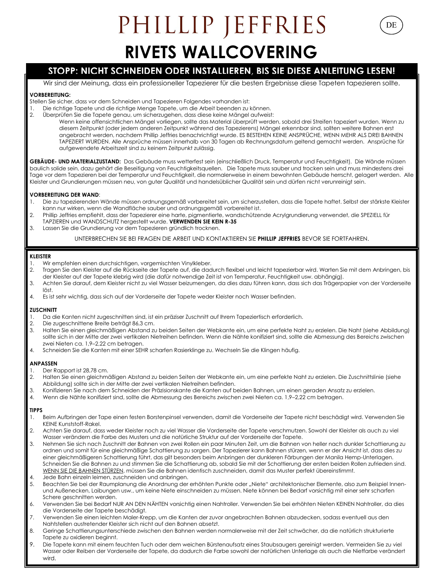## PHILLIP JEFFRIES **RIVETS WALLCOVERING**

DE

#### **STOPP: NICHT SCHNEIDEN ODER INSTALLIEREN, BIS SIE DIESE ANLEITUNG LESEN!**

Wir sind der Meinung, dass ein professioneller Tapezierer für die besten Ergebnisse diese Tapeten tapezieren sollte.

#### **VORBEREITUNG:**

Stellen Sie sicher, dass vor dem Schneiden und Tapezieren Folgendes vorhanden ist:

1. Die richtige Tapete und die richtige Menge Tapete, um die Arbeit beenden zu können.<br>2. Die enrüfen Sie die Tapete genau um sicherzugehen, dass diese keine Mängel aufweist

2. Überprüfen Sie die Tapete genau, um sicherzugehen, dass diese keine Mängel aufweist: Wenn keine offensichtlichen Mängel vorliegen, sollte das Material überprüft werden, sobald drei Streifen tapeziert wurden. Wenn zu diesem Zeitpunkt (oder jedem anderen Zeitpunkt während des Tapezierens) Mängel erkennbar sind, sollten weitere Bahnen erst angebracht werden, nachdem Phillip Jeffries benachrichtigt wurde. ES BESTEHEN KEINE ANSPRÜCHE, WENN MEHR ALS DREI BAHNEN TAPEZIERT WURDEN. Alle Ansprüche müssen innerhalb von 30 Tagen ab Rechnungsdatum geltend gemacht werden. Ansprüche für aufgewendete Arbeitszeit sind zu keinem Zeitpunkt zulässig.

**GEBÄUDE- UND MATERIALZUSTAND:** Das Gebäude muss wetterfest sein (einschließlich Druck, Temperatur und Feuchtigkeit). Die Wände müssen baulich solide sein, dazu gehört die Beseitigung von Feuchtigkeitsquellen. Die Tapete muss sauber und trocken sein und muss mindestens drei Tage vor dem Tapezieren bei der Temperatur und Feuchtigkeit, die normalerweise in einem bewohnten Gebäude herrscht, gelagert werden. Alle Kleister und Grundierungen müssen neu, von guter Qualität und handelsüblicher Qualität sein und dürfen nicht verunreinigt sein.

#### **VORBEREITUNG DER WAND**:

- 1. Die zu tapezierenden Wände müssen ordnungsgemäß vorbereitet sein, um sicherzustellen, dass die Tapete haftet. Selbst der stärkste Kleister kann nur wirken, wenn die Wandfläche sauber und ordnungsgemäß vorbereitet ist.
- 2. Phillip Jeffries empfiehlt, dass der Tapezierer eine harte, pigmentierte, wandschützende Acrylgrundierung verwendet, die SPEZIELL für TAPZIEREN und WANDSCHUTZ hergestellt wurde. **VERWENDEN SIE KEIN R-35**
- 3. Lassen Sie die Grundierung vor dem Tapezieren gründlich trocknen.

UNTERBRECHEN SIE BEI FRAGEN DIE ARBEIT UND KONTAKTIEREN SIE **PHILLIP JEFFRIES** BEVOR SIE FORTFAHREN.

#### **KLEISTER**

- 1. Wir empfehlen einen durchsichtigen, vorgemischten Vinylkleber.<br>2. Dragen Sie den Kleister auf die Rückseite der Tapete auf, die dad
- 2. Tragen Sie den Kleister auf die Rückseite der Tapete auf, die dadurch flexibel und leicht tapezierbar wird. Warten Sie mit dem Anbringen, bis der Kleister auf der Tapete klebrig wird (die dafür notwendige Zeit ist von Temperatur, Feuchtigkeit usw. abhängig).
- 3. Achten Sie darauf, dem Kleister nicht zu viel Wasser beizumengen, da dies dazu führen kann, dass sich das Trägerpapier von der Vorderseite löst.
- 4. Es ist sehr wichtig, dass sich auf der Vorderseite der Tapete weder Kleister noch Wasser befinden.

#### **ZUSCHNITT**

- 1. Da die Kanten nicht zugeschnitten sind, ist ein präziser Zuschnitt auf Ihrem Tapeziertisch erforderlich.
- 2. Die zugeschnittene Breite beträgt 86,3 cm.
- 3. Halten Sie einen gleichmäßigen Abstand zu beiden Seiten der Webkante ein, um eine perfekte Naht zu erzielen. Die Naht (siehe Abbildung) sollte sich in der Mitte der zwei vertikalen Nietreihen befinden. Wenn die Nähte konifiziert sind, sollte die Abmessung des Bereichs zwischen zwei Nieten ca. 1,9–2,22 cm betragen.
- 4. Schneiden Sie die Kanten mit einer SEHR scharfen Rasierklinge zu. Wechseln Sie die Klingen häufig.

#### **ANPASSEN**

- 1. Der Rapport ist 28,78 cm.
- 2. Halten Sie einen gleichmäßigen Abstand zu beiden Seiten der Webkante ein, um eine perfekte Naht zu erzielen. Die Zuschnittslinie (siehe Abbildung) sollte sich in der Mitte der zwei vertikalen Nietreihen befinden.
- 3. Konifizieren Sie nach dem Schneiden der Präzisionskante die Kanten auf beiden Bahnen, um einen geraden Ansatz zu erzielen.
- 4. Wenn die Nähte konifiziert sind, sollte die Abmessung des Bereichs zwischen zwei Nieten ca. 1,9–2,22 cm betragen.

#### **TIPPS**

- 1. Beim Aufbringen der Tape einen festen Borstenpinsel verwenden, damit die Vorderseite der Tapete nicht beschädigt wird. Verwenden Sie KEINE Kunststoff-Rakel.
- 2. Achten Sie darauf, dass weder Kleister noch zu viel Wasser die Vorderseite der Tapete verschmutzen. Sowohl der Kleister als auch zu viel Wasser verändern die Farbe des Musters und die natürliche Struktur auf der Vorderseite der Tapete.
- 3. Nehmen Sie sich nach Zuschnitt der Bahnen von zwei Rollen ein paar Minuten Zeit, um die Bahnen von heller nach dunkler Schattierung zu ordnen und somit für eine gleichmäßige Schattierung zu sorgen. Der Tapezierer kann Bahnen stürzen, wenn er der Ansicht ist, dass dies zu einer gleichmäßigeren Schattierung führt, das gilt besonders beim Anbringen der dunkleren Färbungen der Manila Hemp-Unterlagen. Schneiden Sie die Bahnen zu und stimmen Sie die Schattierung ab, sobald Sie mit der Schattierung der ersten beiden Rollen zufrieden sind. WENN SIE DIE BAHNEN STÜRZEN, müssen Sie die Bahnen identisch zuschneiden, damit das Muster perfekt übereinstimmt.
- 4. Jede Bahn einzeln leimen, zuschneiden und anbringen.
- 5. Beachten Sie bei der Raumplanung die Anordnung der erhöhten Punkte oder "Niete" architektonischer Elemente, also zum Beispiel Innenund Außenecken, Laibungen usw., um keine Niete einschneiden zu müssen. Niete können bei Bedarf vorsichtig mit einer sehr scharfen Schere geschnitten werden.
- 6. Verwenden Sie bei Bedarf NUR AN DEN NÄHTEN vorsichtig einen Nahtroller. Verwenden Sie bei erhöhten Nieten KEINEN Nahtroller, da dies die Vorderseite der Tapete beschädigt.
- 7. Verwenden Sie einen leichten Maler-Krepp, um die Kanten der zuvor angebrachten Bahnen abzudecken, sodass eventuell aus den Nahtstellen austretender Kleister sich nicht auf den Bahnen absetzt.
- 8. Geringe Schattierungsunterschiede zwischen den Bahnen werden normalerweise mit der Zeit schwächer, da die natürlich strukturierte Tapete zu oxidieren beginnt.
- 9. Die Tapete kann mit einem feuchten Tuch oder dem weichen Bürstenaufsatz eines Staubsaugers gereinigt werden. Vermeiden Sie zu viel Wasser oder Reiben der Vorderseite der Tapete, da dadurch die Farbe sowohl der natürlichen Unterlage als auch die Nietfarbe verändert wird.